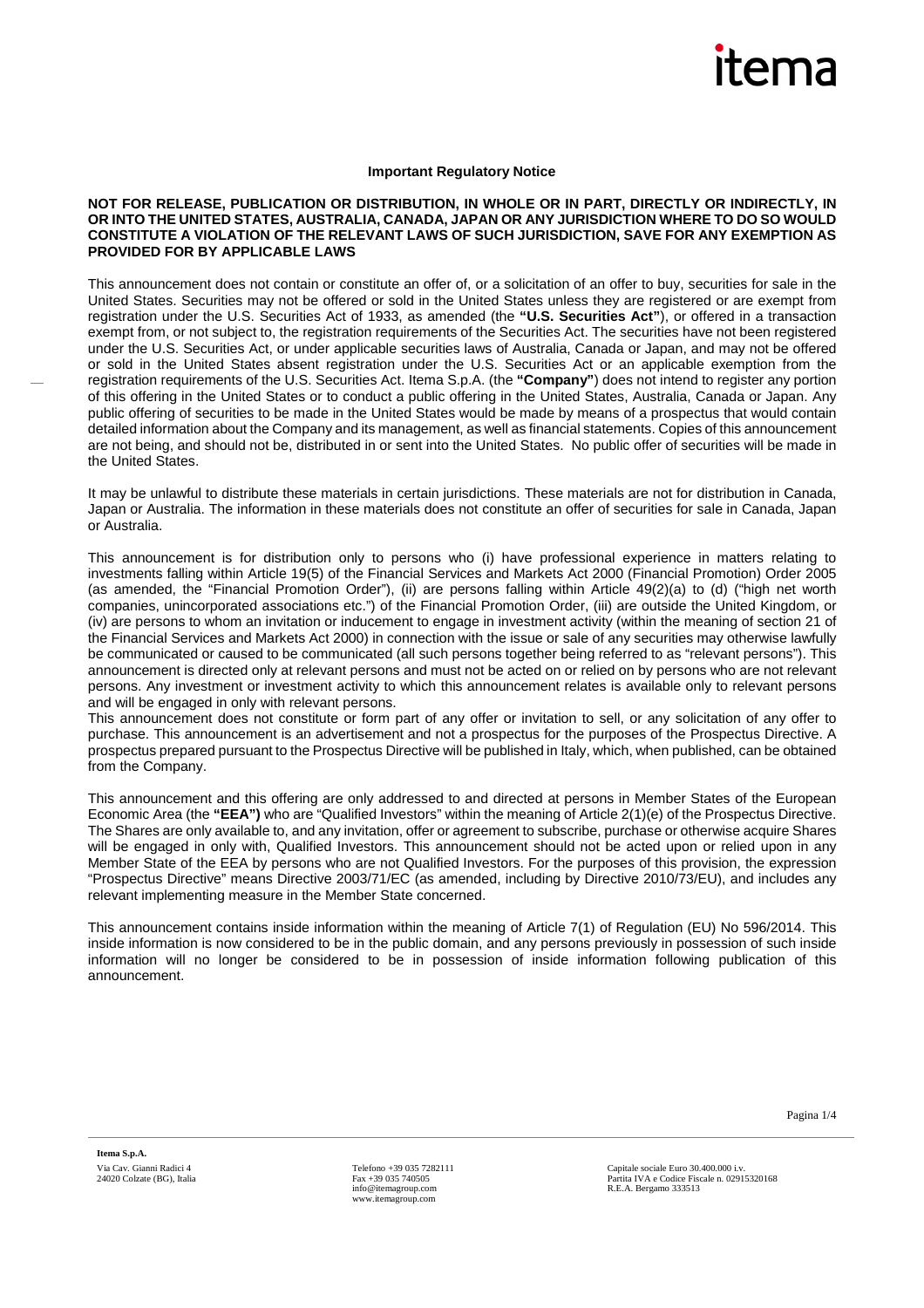## **stema**

#### **Important Regulatory Notice**

#### **NOT FOR RELEASE, PUBLICATION OR DISTRIBUTION, IN WHOLE OR IN PART, DIRECTLY OR INDIRECTLY, IN OR INTO THE UNITED STATES, AUSTRALIA, CANADA, JAPAN OR ANY JURISDICTION WHERE TO DO SO WOULD CONSTITUTE A VIOLATION OF THE RELEVANT LAWS OF SUCH JURISDICTION, SAVE FOR ANY EXEMPTION AS PROVIDED FOR BY APPLICABLE LAWS**

This announcement does not contain or constitute an offer of, or a solicitation of an offer to buy, securities for sale in the United States. Securities may not be offered or sold in the United States unless they are registered or are exempt from registration under the U.S. Securities Act of 1933, as amended (the **"U.S. Securities Act"**), or offered in a transaction exempt from, or not subject to, the registration requirements of the Securities Act. The securities have not been registered under the U.S. Securities Act, or under applicable securities laws of Australia, Canada or Japan, and may not be offered or sold in the United States absent registration under the U.S. Securities Act or an applicable exemption from the registration requirements of the U.S. Securities Act. Itema S.p.A. (the **"Company"**) does not intend to register any portion of this offering in the United States or to conduct a public offering in the United States, Australia, Canada or Japan. Any public offering of securities to be made in the United States would be made by means of a prospectus that would contain detailed information about the Company and its management, as well as financial statements. Copies of this announcement are not being, and should not be, distributed in or sent into the United States. No public offer of securities will be made in the United States.

It may be unlawful to distribute these materials in certain jurisdictions. These materials are not for distribution in Canada, Japan or Australia. The information in these materials does not constitute an offer of securities for sale in Canada, Japan or Australia.

This announcement is for distribution only to persons who (i) have professional experience in matters relating to investments falling within Article 19(5) of the Financial Services and Markets Act 2000 (Financial Promotion) Order 2005 (as amended, the "Financial Promotion Order"), (ii) are persons falling within Article 49(2)(a) to (d) ("high net worth companies, unincorporated associations etc.") of the Financial Promotion Order, (iii) are outside the United Kingdom, or (iv) are persons to whom an invitation or inducement to engage in investment activity (within the meaning of section 21 of the Financial Services and Markets Act 2000) in connection with the issue or sale of any securities may otherwise lawfully be communicated or caused to be communicated (all such persons together being referred to as "relevant persons"). This announcement is directed only at relevant persons and must not be acted on or relied on by persons who are not relevant persons. Any investment or investment activity to which this announcement relates is available only to relevant persons and will be engaged in only with relevant persons.

This announcement does not constitute or form part of any offer or invitation to sell, or any solicitation of any offer to purchase. This announcement is an advertisement and not a prospectus for the purposes of the Prospectus Directive. A prospectus prepared pursuant to the Prospectus Directive will be published in Italy, which, when published, can be obtained from the Company.

This announcement and this offering are only addressed to and directed at persons in Member States of the European Economic Area (the **"EEA")** who are "Qualified Investors" within the meaning of Article 2(1)(e) of the Prospectus Directive. The Shares are only available to, and any invitation, offer or agreement to subscribe, purchase or otherwise acquire Shares will be engaged in only with, Qualified Investors. This announcement should not be acted upon or relied upon in any Member State of the EEA by persons who are not Qualified Investors. For the purposes of this provision, the expression "Prospectus Directive" means Directive 2003/71/EC (as amended, including by Directive 2010/73/EU), and includes any relevant implementing measure in the Member State concerned.

This announcement contains inside information within the meaning of Article 7(1) of Regulation (EU) No 596/2014. This inside information is now considered to be in the public domain, and any persons previously in possession of such inside information will no longer be considered to be in possession of inside information following publication of this announcement.

Pagina 1/4

**Itema S.p.A.** Via Cav. Gianni Radici 4 24020 Colzate (BG), Italia

Telefono +39 035 7282111 Fax +39 035 740505 info@itemagroup.com www.itemagroup.com

Capitale sociale Euro 30.400.000 i.v. Partita IVA e Codice Fiscale n. 02915320168 R.E.A. Bergamo 333513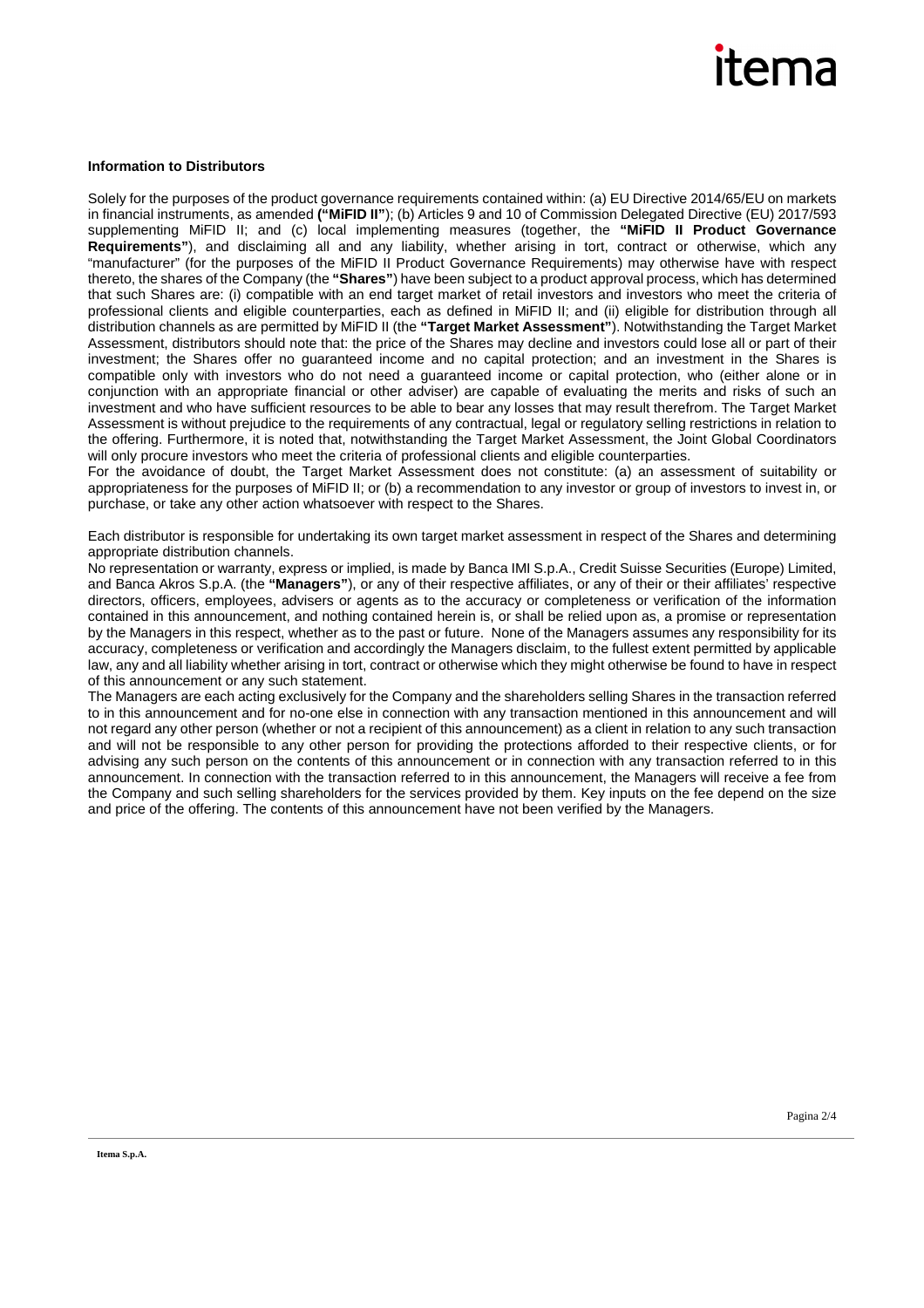# itema

#### **Information to Distributors**

Solely for the purposes of the product governance requirements contained within: (a) EU Directive 2014/65/EU on markets in financial instruments, as amended **("MiFID II"**); (b) Articles 9 and 10 of Commission Delegated Directive (EU) 2017/593 supplementing MiFID II; and (c) local implementing measures (together, the **"MiFID II Product Governance Requirements"**), and disclaiming all and any liability, whether arising in tort, contract or otherwise, which any "manufacturer" (for the purposes of the MiFID II Product Governance Requirements) may otherwise have with respect thereto, the shares of the Company (the **"Shares"**) have been subject to a product approval process, which has determined that such Shares are: (i) compatible with an end target market of retail investors and investors who meet the criteria of professional clients and eligible counterparties, each as defined in MiFID II; and (ii) eligible for distribution through all distribution channels as are permitted by MiFID II (the **"Target Market Assessment"**). Notwithstanding the Target Market Assessment, distributors should note that: the price of the Shares may decline and investors could lose all or part of their investment; the Shares offer no guaranteed income and no capital protection; and an investment in the Shares is compatible only with investors who do not need a guaranteed income or capital protection, who (either alone or in conjunction with an appropriate financial or other adviser) are capable of evaluating the merits and risks of such an investment and who have sufficient resources to be able to bear any losses that may result therefrom. The Target Market Assessment is without prejudice to the requirements of any contractual, legal or regulatory selling restrictions in relation to the offering. Furthermore, it is noted that, notwithstanding the Target Market Assessment, the Joint Global Coordinators will only procure investors who meet the criteria of professional clients and eligible counterparties.

For the avoidance of doubt, the Target Market Assessment does not constitute: (a) an assessment of suitability or appropriateness for the purposes of MiFID II; or (b) a recommendation to any investor or group of investors to invest in, or purchase, or take any other action whatsoever with respect to the Shares.

Each distributor is responsible for undertaking its own target market assessment in respect of the Shares and determining appropriate distribution channels.

No representation or warranty, express or implied, is made by Banca IMI S.p.A., Credit Suisse Securities (Europe) Limited, and Banca Akros S.p.A. (the **"Managers"**), or any of their respective affiliates, or any of their or their affiliates' respective directors, officers, employees, advisers or agents as to the accuracy or completeness or verification of the information contained in this announcement, and nothing contained herein is, or shall be relied upon as, a promise or representation by the Managers in this respect, whether as to the past or future. None of the Managers assumes any responsibility for its accuracy, completeness or verification and accordingly the Managers disclaim, to the fullest extent permitted by applicable law, any and all liability whether arising in tort, contract or otherwise which they might otherwise be found to have in respect of this announcement or any such statement.

The Managers are each acting exclusively for the Company and the shareholders selling Shares in the transaction referred to in this announcement and for no-one else in connection with any transaction mentioned in this announcement and will not regard any other person (whether or not a recipient of this announcement) as a client in relation to any such transaction and will not be responsible to any other person for providing the protections afforded to their respective clients, or for advising any such person on the contents of this announcement or in connection with any transaction referred to in this announcement. In connection with the transaction referred to in this announcement, the Managers will receive a fee from the Company and such selling shareholders for the services provided by them. Key inputs on the fee depend on the size and price of the offering. The contents of this announcement have not been verified by the Managers.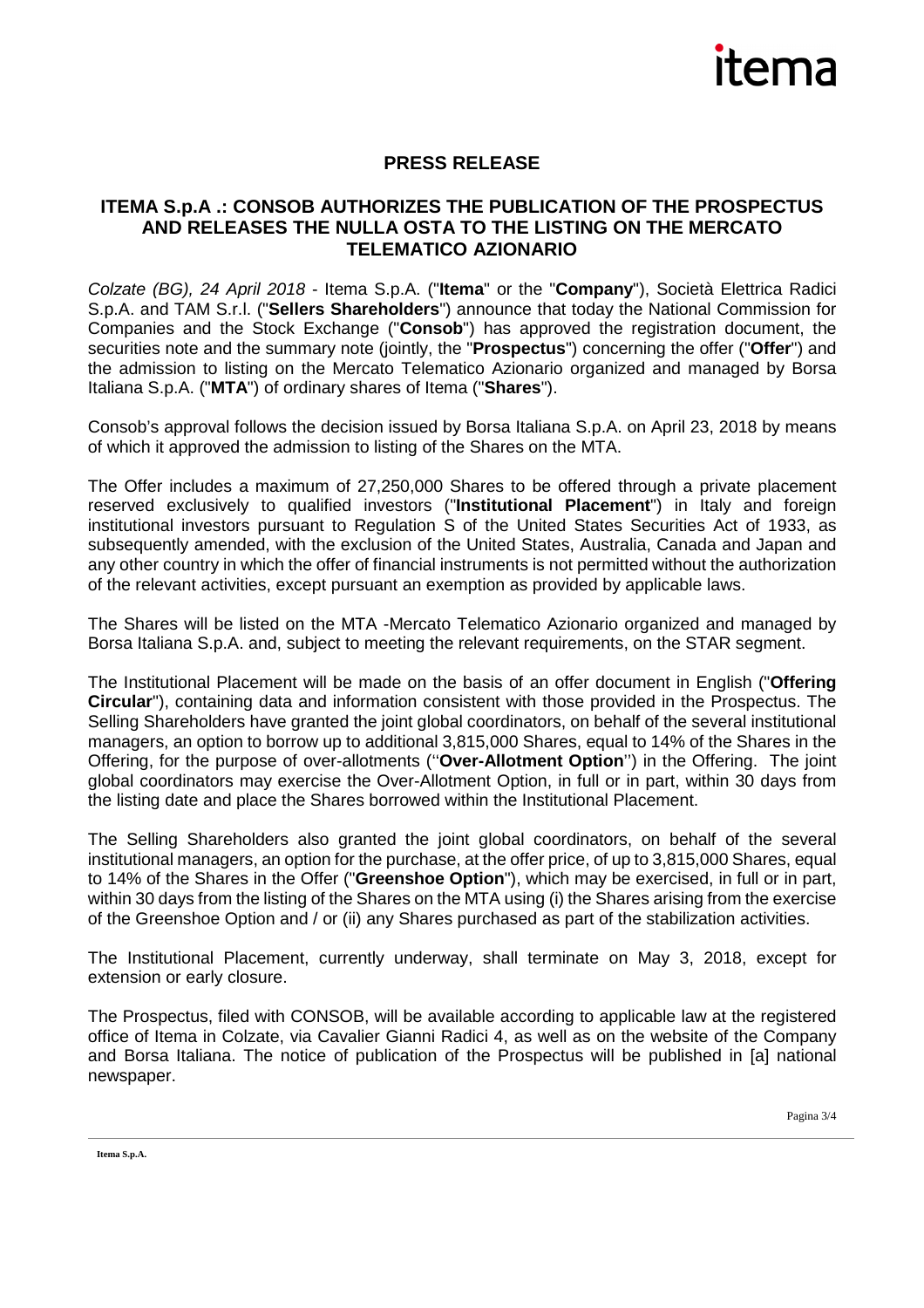

## **PRESS RELEASE**

## **ITEMA S.p.A .: CONSOB AUTHORIZES THE PUBLICATION OF THE PROSPECTUS AND RELEASES THE NULLA OSTA TO THE LISTING ON THE MERCATO TELEMATICO AZIONARIO**

Colzate (BG), 24 April 2018 - Itema S.p.A. ("**Itema**" or the "**Company**"), Società Elettrica Radici S.p.A. and TAM S.r.l. ("**Sellers Shareholders**") announce that today the National Commission for Companies and the Stock Exchange ("**Consob**") has approved the registration document, the securities note and the summary note (jointly, the "**Prospectus**") concerning the offer ("**Offer**") and the admission to listing on the Mercato Telematico Azionario organized and managed by Borsa Italiana S.p.A. ("**MTA**") of ordinary shares of Itema ("**Shares**").

Consob's approval follows the decision issued by Borsa Italiana S.p.A. on April 23, 2018 by means of which it approved the admission to listing of the Shares on the MTA.

The Offer includes a maximum of 27,250,000 Shares to be offered through a private placement reserved exclusively to qualified investors ("**Institutional Placement**") in Italy and foreign institutional investors pursuant to Regulation S of the United States Securities Act of 1933, as subsequently amended, with the exclusion of the United States, Australia, Canada and Japan and any other country in which the offer of financial instruments is not permitted without the authorization of the relevant activities, except pursuant an exemption as provided by applicable laws.

The Shares will be listed on the MTA -Mercato Telematico Azionario organized and managed by Borsa Italiana S.p.A. and, subject to meeting the relevant requirements, on the STAR segment.

The Institutional Placement will be made on the basis of an offer document in English ("**Offering Circular**"), containing data and information consistent with those provided in the Prospectus. The Selling Shareholders have granted the joint global coordinators, on behalf of the several institutional managers, an option to borrow up to additional 3,815,000 Shares, equal to 14% of the Shares in the Offering, for the purpose of over-allotments (''**Over-Allotment Option**'') in the Offering. The joint global coordinators may exercise the Over-Allotment Option, in full or in part, within 30 days from the listing date and place the Shares borrowed within the Institutional Placement.

The Selling Shareholders also granted the joint global coordinators, on behalf of the several institutional managers, an option for the purchase, at the offer price, of up to 3,815,000 Shares, equal to 14% of the Shares in the Offer ("**Greenshoe Option**"), which may be exercised, in full or in part, within 30 days from the listing of the Shares on the MTA using (i) the Shares arising from the exercise of the Greenshoe Option and / or (ii) any Shares purchased as part of the stabilization activities.

The Institutional Placement, currently underway, shall terminate on May 3, 2018, except for extension or early closure.

The Prospectus, filed with CONSOB, will be available according to applicable law at the registered office of Itema in Colzate, via Cavalier Gianni Radici 4, as well as on the website of the Company and Borsa Italiana. The notice of publication of the Prospectus will be published in [a] national newspaper.

Pagina 3/4

**Itema S.p.A.**